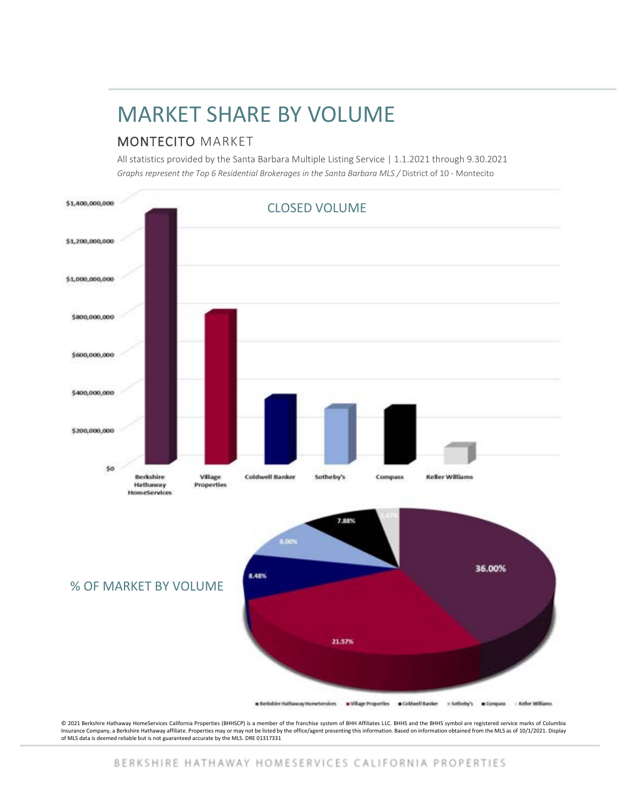# MARKET SHARE BY VOLUME

### MONTECITO MARKET

All statistics provided by the Santa Barbara Multiple Listing Service | 1.1.2021 through 9.30.2021 *Graphs represent the Top 6 Residential Brokerages in the Santa Barbara MLS /* District of 10 - Montecito



© 2021 Berkshire Hathaway HomeServices California Properties (BHHSCP) is a member of the franchise system of BHH Affiliates LLC. BHHS and the BHHS symbol are registered service marks of Columbia Insurance Company, a Berkshire Hathaway affiliate. Properties may or may not be listed by the office/agent presenting this information. Based on information obtained from the MLS as of 10/1/2021. Display<br>of MLS data is dee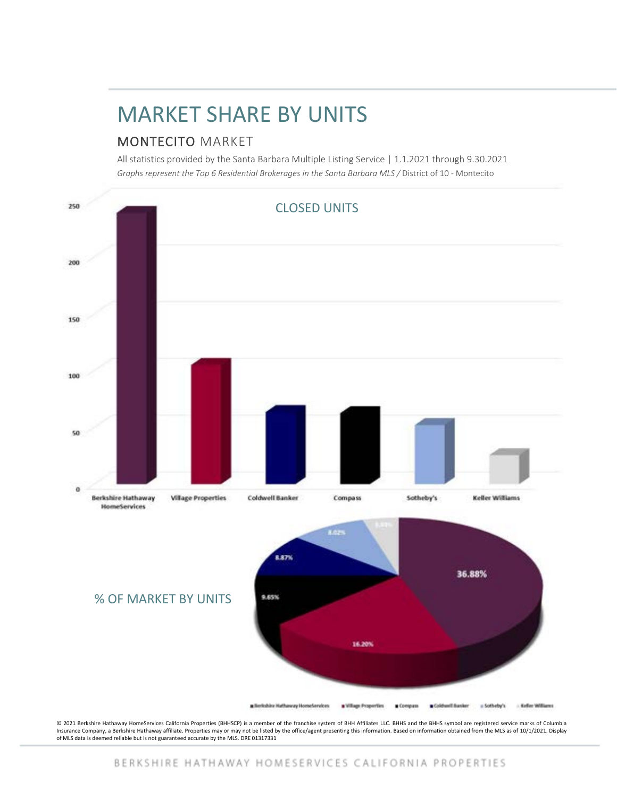# MARKET SHARE BY UNITS

### MONTECITO MARKET

All statistics provided by the Santa Barbara Multiple Listing Service | 1.1.2021 through 9.30.2021 *Graphs represent the Top 6 Residential Brokerages in the Santa Barbara MLS /* District of 10 - Montecito



© 2021 Berkshire Hathaway HomeServices California Properties (BHHSCP) is a member of the franchise system of BHH Affiliates LLC. BHHS and the BHHS symbol are registered service marks of Columbia Insurance Company, a Berkshire Hathaway affiliate. Properties may or may not be listed by the office/agent presenting this information. Based on information obtained from the MLS as of 10/1/2021. Display<br>of MLS data is dee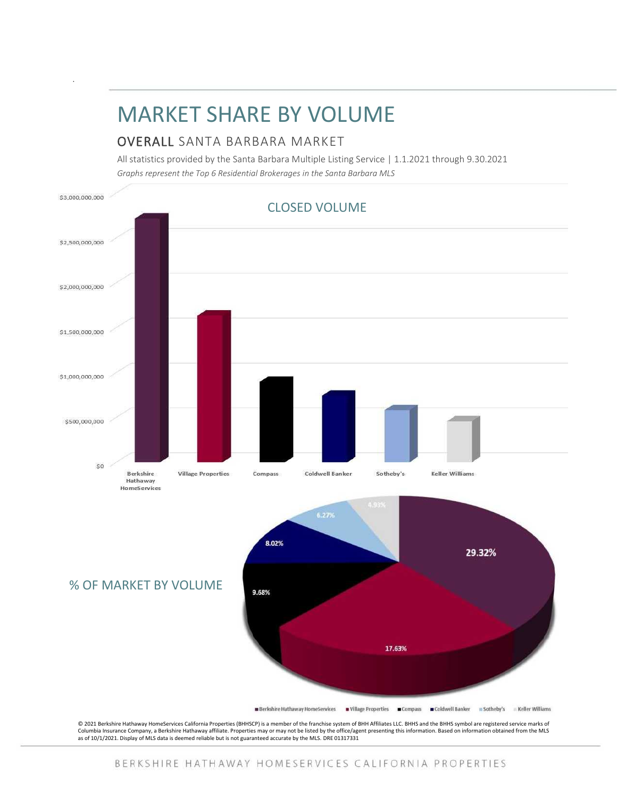## MARKET SHARE BY VOLUME

#### OVERALL SANTA BARBARA MARKET

All statistics provided by the Santa Barbara Multiple Listing Service | 1.1.2021 through 9.30.2021 *Graphs represent the Top 6 Residential Brokerages in the Santa Barbara MLS*



BERKSHIRE HATHAWAY HOMESERVICES CALIFORNIA PROPERTIES